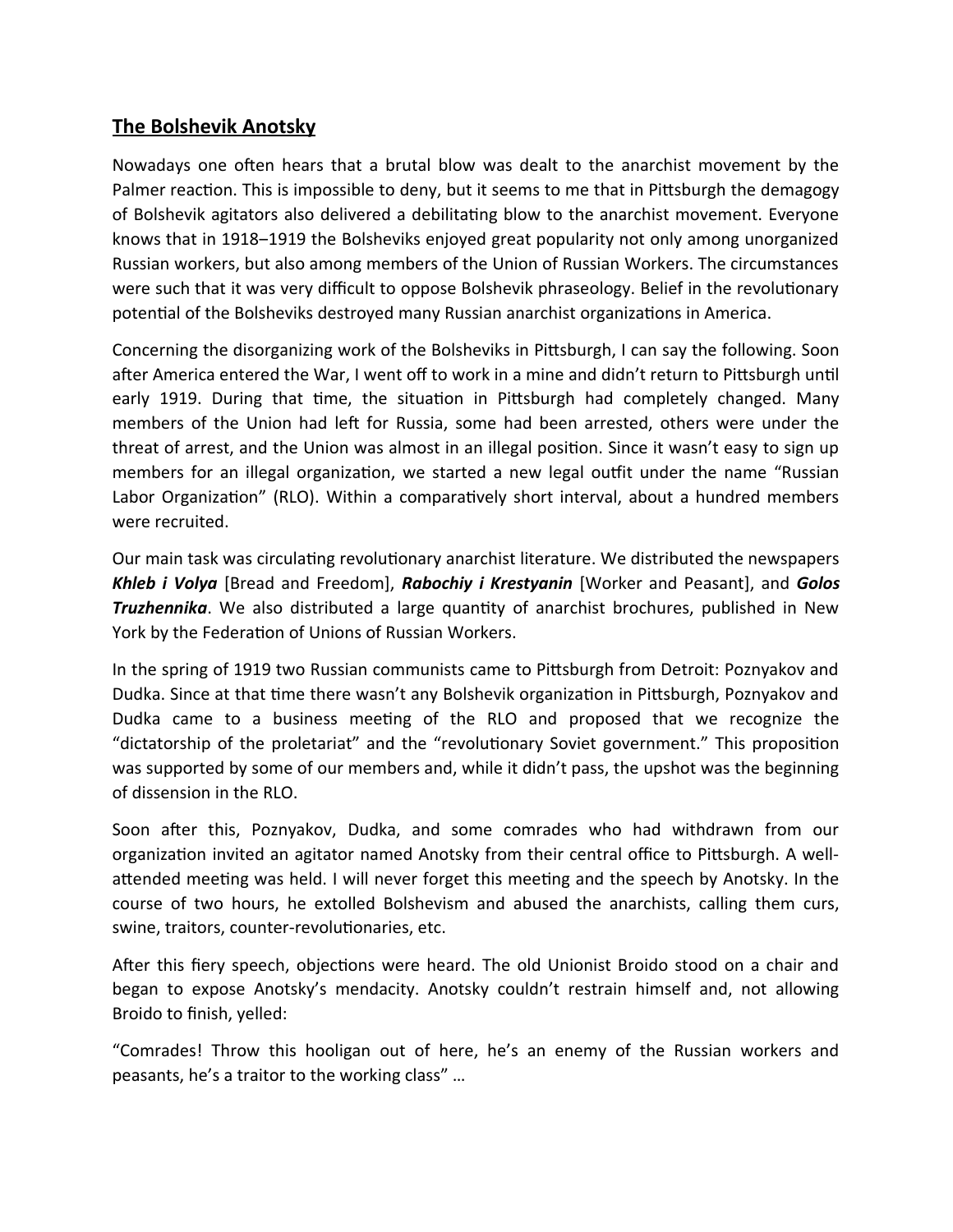## **The Bolshevik Anotsky**

Nowadays one often hears that a brutal blow was dealt to the anarchist movement by the Palmer reaction. This is impossible to deny, but it seems to me that in Pittsburgh the demagogy of Bolshevik agitators also delivered a debilitating blow to the anarchist movement. Everyone knows that in 1918–1919 the Bolsheviks enjoyed great popularity not only among unorganized Russian workers, but also among members of the Union of Russian Workers. The circumstances were such that it was very difficult to oppose Bolshevik phraseology. Belief in the revolutionary potential of the Bolsheviks destroyed many Russian anarchist organizations in America.

Concerning the disorganizing work of the Bolsheviks in Pittsburgh, I can say the following. Soon after America entered the War, I went off to work in a mine and didn't return to Pittsburgh until early 1919. During that time, the situation in Pittsburgh had completely changed. Many members of the Union had left for Russia, some had been arrested, others were under the threat of arrest, and the Union was almost in an illegal position. Since it wasn't easy to sign up members for an illegal organization, we started a new legal outfit under the name "Russian Labor Organization" (RLO). Within a comparatively short interval, about a hundred members were recruited.

Our main task was circulating revolutionary anarchist literature. We distributed the newspapers *Khleb i Volya* [Bread and Freedom], *Rabochiy i Krestyanin* [Worker and Peasant], and *Golos Truzhennika*. We also distributed a large quantity of anarchist brochures, published in New York by the Federation of Unions of Russian Workers.

In the spring of 1919 two Russian communists came to Pittsburgh from Detroit: Poznyakov and Dudka. Since at that time there wasn't any Bolshevik organization in Pittsburgh, Poznyakov and Dudka came to a business meeting of the RLO and proposed that we recognize the "dictatorship of the proletariat" and the "revolutionary Soviet government." This proposition was supported by some of our members and, while it didn't pass, the upshot was the beginning of dissension in the RLO.

Soon after this, Poznyakov, Dudka, and some comrades who had withdrawn from our organization invited an agitator named Anotsky from their central office to Pittsburgh. A wellattended meeting was held. I will never forget this meeting and the speech by Anotsky. In the course of two hours, he extolled Bolshevism and abused the anarchists, calling them curs, swine, traitors, counter-revolutionaries, etc.

After this fiery speech, objections were heard. The old Unionist Broido stood on a chair and began to expose Anotsky's mendacity. Anotsky couldn't restrain himself and, not allowing Broido to finish, yelled:

"Comrades! Throw this hooligan out of here, he's an enemy of the Russian workers and peasants, he's a traitor to the working class" …